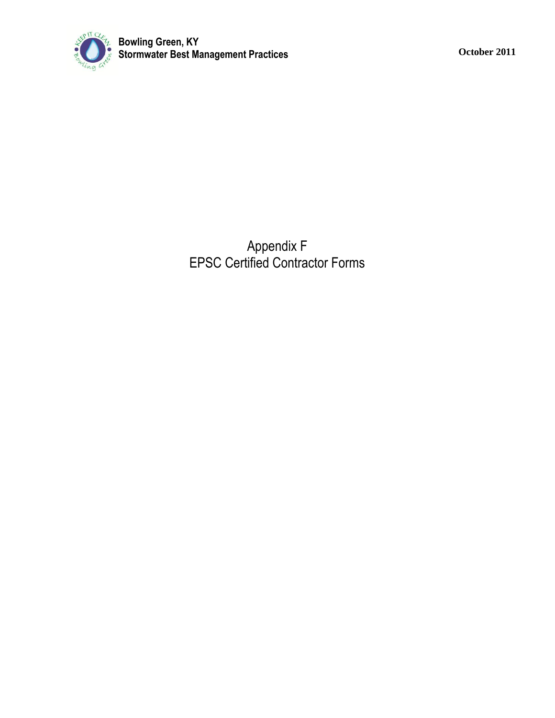

Appendix F EPSC Certified Contractor Forms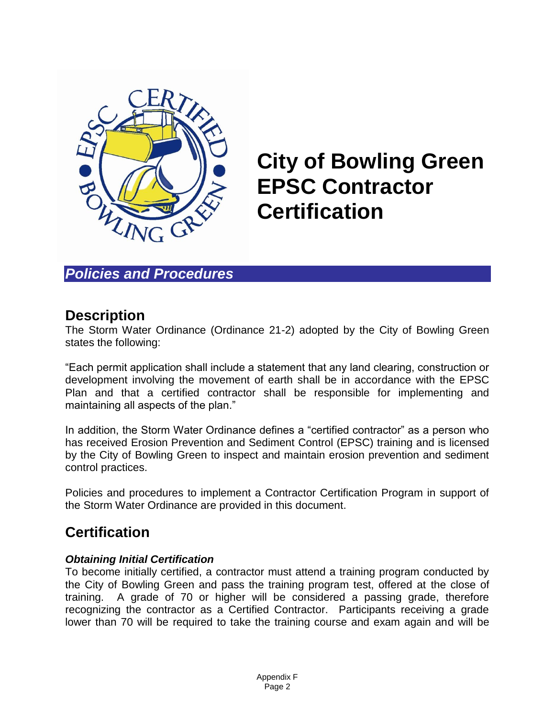

**City of Bowling Green EPSC Contractor Certification:**

*Policies and Procedures*

# **Description**

The Storm Water Ordinance (Ordinance 21-2) adopted by the City of Bowling Green states the following:

"Each permit application shall include a statement that any land clearing, construction or development involving the movement of earth shall be in accordance with the EPSC Plan and that a certified contractor shall be responsible for implementing and maintaining all aspects of the plan."

In addition, the Storm Water Ordinance defines a "certified contractor" as a person who has received Erosion Prevention and Sediment Control (EPSC) training and is licensed by the City of Bowling Green to inspect and maintain erosion prevention and sediment control practices.

Policies and procedures to implement a Contractor Certification Program in support of the Storm Water Ordinance are provided in this document.

# **Certification**

## *Obtaining Initial Certification*

To become initially certified, a contractor must attend a training program conducted by the City of Bowling Green and pass the training program test, offered at the close of training. A grade of 70 or higher will be considered a passing grade, therefore recognizing the contractor as a Certified Contractor. Participants receiving a grade lower than 70 will be required to take the training course and exam again and will be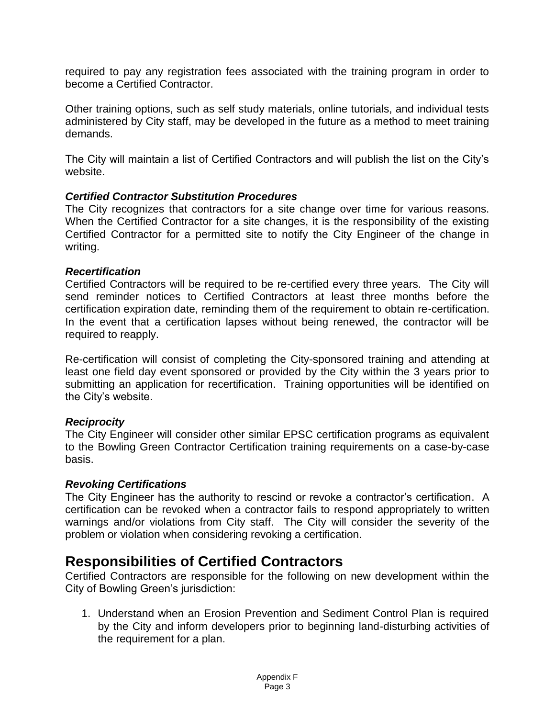required to pay any registration fees associated with the training program in order to become a Certified Contractor.

Other training options, such as self study materials, online tutorials, and individual tests administered by City staff, may be developed in the future as a method to meet training demands.

The City will maintain a list of Certified Contractors and will publish the list on the City's website.

### *Certified Contractor Substitution Procedures*

The City recognizes that contractors for a site change over time for various reasons. When the Certified Contractor for a site changes, it is the responsibility of the existing Certified Contractor for a permitted site to notify the City Engineer of the change in writing.

### *Recertification*

Certified Contractors will be required to be re-certified every three years. The City will send reminder notices to Certified Contractors at least three months before the certification expiration date, reminding them of the requirement to obtain re-certification. In the event that a certification lapses without being renewed, the contractor will be required to reapply.

Re-certification will consist of completing the City-sponsored training and attending at least one field day event sponsored or provided by the City within the 3 years prior to submitting an application for recertification. Training opportunities will be identified on the City's website.

## *Reciprocity*

The City Engineer will consider other similar EPSC certification programs as equivalent to the Bowling Green Contractor Certification training requirements on a case-by-case basis.

### *Revoking Certifications*

The City Engineer has the authority to rescind or revoke a contractor's certification. A certification can be revoked when a contractor fails to respond appropriately to written warnings and/or violations from City staff. The City will consider the severity of the problem or violation when considering revoking a certification.

# **Responsibilities of Certified Contractors**

Certified Contractors are responsible for the following on new development within the City of Bowling Green's jurisdiction:

1. Understand when an Erosion Prevention and Sediment Control Plan is required by the City and inform developers prior to beginning land-disturbing activities of the requirement for a plan.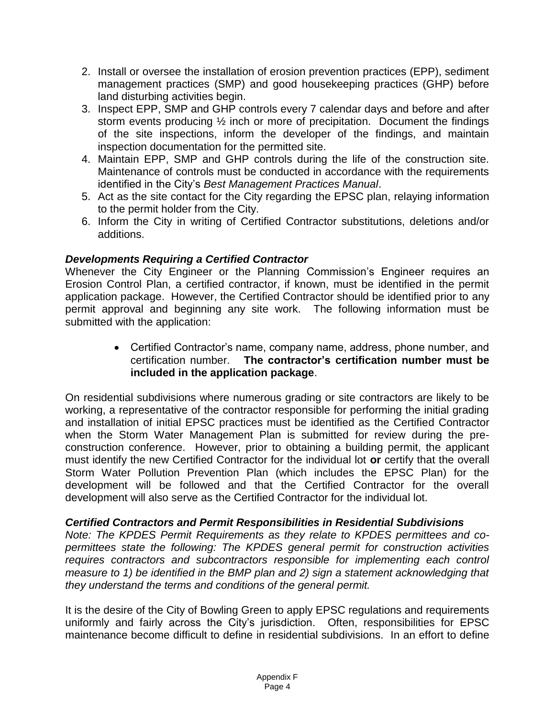- 2. Install or oversee the installation of erosion prevention practices (EPP), sediment management practices (SMP) and good housekeeping practices (GHP) before land disturbing activities begin.
- 3. Inspect EPP, SMP and GHP controls every 7 calendar days and before and after storm events producing ½ inch or more of precipitation. Document the findings of the site inspections, inform the developer of the findings, and maintain inspection documentation for the permitted site.
- 4. Maintain EPP, SMP and GHP controls during the life of the construction site. Maintenance of controls must be conducted in accordance with the requirements identified in the City's *Best Management Practices Manual*.
- 5. Act as the site contact for the City regarding the EPSC plan, relaying information to the permit holder from the City.
- 6. Inform the City in writing of Certified Contractor substitutions, deletions and/or additions.

## *Developments Requiring a Certified Contractor*

Whenever the City Engineer or the Planning Commission's Engineer requires an Erosion Control Plan, a certified contractor, if known, must be identified in the permit application package. However, the Certified Contractor should be identified prior to any permit approval and beginning any site work. The following information must be submitted with the application:

> Certified Contractor's name, company name, address, phone number, and certification number. **The contractor's certification number must be included in the application package**.

On residential subdivisions where numerous grading or site contractors are likely to be working, a representative of the contractor responsible for performing the initial grading and installation of initial EPSC practices must be identified as the Certified Contractor when the Storm Water Management Plan is submitted for review during the preconstruction conference. However, prior to obtaining a building permit, the applicant must identify the new Certified Contractor for the individual lot **or** certify that the overall Storm Water Pollution Prevention Plan (which includes the EPSC Plan) for the development will be followed and that the Certified Contractor for the overall development will also serve as the Certified Contractor for the individual lot.

## *Certified Contractors and Permit Responsibilities in Residential Subdivisions*

*Note: The KPDES Permit Requirements as they relate to KPDES permittees and copermittees state the following: The KPDES general permit for construction activities requires contractors and subcontractors responsible for implementing each control measure to 1) be identified in the BMP plan and 2) sign a statement acknowledging that they understand the terms and conditions of the general permit.*

It is the desire of the City of Bowling Green to apply EPSC regulations and requirements uniformly and fairly across the City's jurisdiction. Often, responsibilities for EPSC maintenance become difficult to define in residential subdivisions. In an effort to define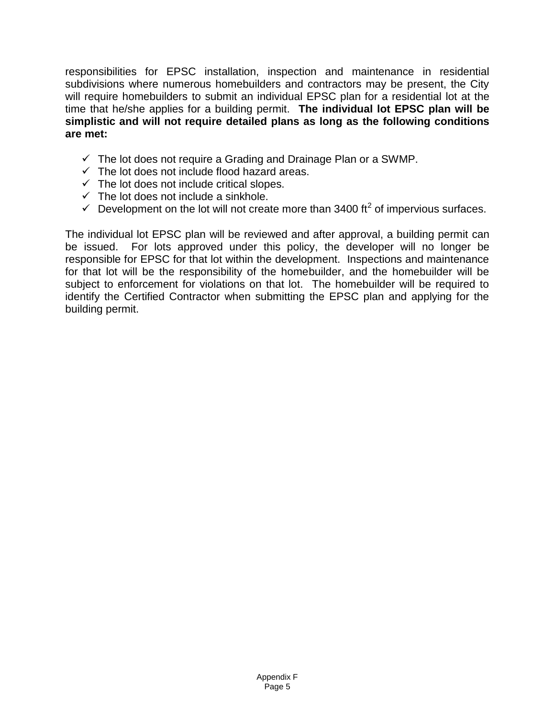responsibilities for EPSC installation, inspection and maintenance in residential subdivisions where numerous homebuilders and contractors may be present, the City will require homebuilders to submit an individual EPSC plan for a residential lot at the time that he/she applies for a building permit. **The individual lot EPSC plan will be simplistic and will not require detailed plans as long as the following conditions are met:**

- $\checkmark$  The lot does not require a Grading and Drainage Plan or a SWMP.
- $\checkmark$  The lot does not include flood hazard areas.
- $\checkmark$  The lot does not include critical slopes.
- $\checkmark$  The lot does not include a sinkhole.
- $\checkmark$  Development on the lot will not create more than 3400 ft<sup>2</sup> of impervious surfaces.

The individual lot EPSC plan will be reviewed and after approval, a building permit can be issued. For lots approved under this policy, the developer will no longer be responsible for EPSC for that lot within the development. Inspections and maintenance for that lot will be the responsibility of the homebuilder, and the homebuilder will be subject to enforcement for violations on that lot. The homebuilder will be required to identify the Certified Contractor when submitting the EPSC plan and applying for the building permit.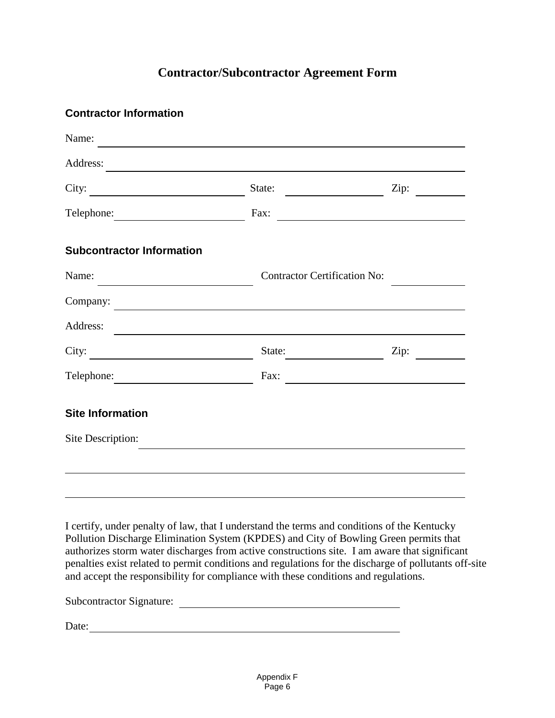## **Contractor/Subcontractor Agreement Form**

| <b>Contractor Information</b>    |                                     |      |
|----------------------------------|-------------------------------------|------|
| Name:                            |                                     |      |
| Address:                         |                                     |      |
| City:                            | State:                              | Zip: |
|                                  | Fax: $\qquad \qquad$                |      |
| <b>Subcontractor Information</b> |                                     |      |
| Name:                            | <b>Contractor Certification No:</b> |      |
| Company:                         |                                     |      |
| Address:                         |                                     |      |
| City: $\qquad \qquad \qquad$     | State:                              | Zip: |
|                                  |                                     |      |
| <b>Site Information</b>          |                                     |      |
| Site Description:                |                                     |      |
|                                  |                                     |      |
|                                  |                                     |      |
|                                  |                                     |      |

I certify, under penalty of law, that I understand the terms and conditions of the Kentucky Pollution Discharge Elimination System (KPDES) and City of Bowling Green permits that authorizes storm water discharges from active constructions site. I am aware that significant penalties exist related to permit conditions and regulations for the discharge of pollutants off-site and accept the responsibility for compliance with these conditions and regulations.

Subcontractor Signature:

Date: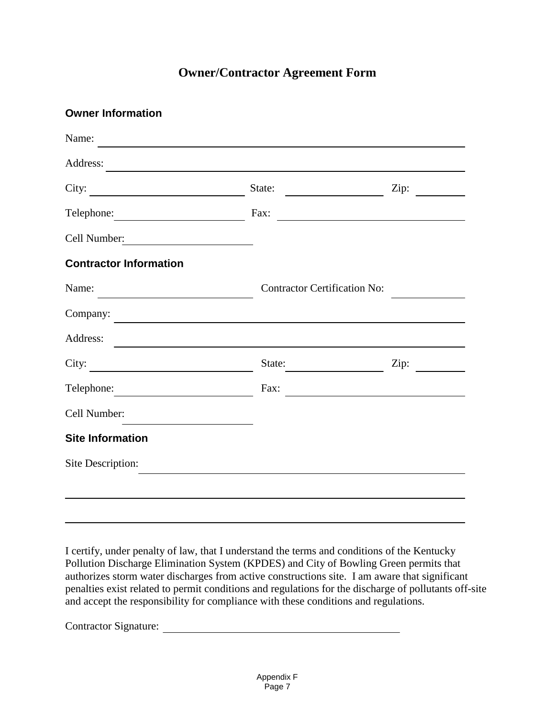# **Owner/Contractor Agreement Form**

#### **Owner Information**

| Name:                                                                                                                         |                                                           |      |
|-------------------------------------------------------------------------------------------------------------------------------|-----------------------------------------------------------|------|
| Address:                                                                                                                      |                                                           |      |
| City:<br><u> 1980 - Johann Barn, mars ann an t-Amhain Aonaich an t-Aonaich an t-Aonaich ann an t-Aonaich ann an t-Aonaich</u> | State:                                                    | Zip: |
| Telephone:                                                                                                                    | Fax:                                                      |      |
| Cell Number:<br><u> 1989 - Johann Barbara, martxa alemaniar a</u>                                                             |                                                           |      |
| <b>Contractor Information</b>                                                                                                 |                                                           |      |
| Name:                                                                                                                         | <b>Contractor Certification No:</b>                       |      |
| Company:<br>the control of the control of the control of the control of the control of the control of                         |                                                           |      |
| Address:                                                                                                                      |                                                           |      |
| City:                                                                                                                         | State:                                                    | Zip: |
| Telephone:<br><u> 1980 - Johann Barbara, martxa a</u>                                                                         | Fax:<br><u> 1980 - Johann Barbara, martxa alemaniar a</u> |      |
| Cell Number:                                                                                                                  |                                                           |      |
| <b>Site Information</b>                                                                                                       |                                                           |      |
| Site Description:                                                                                                             |                                                           |      |
|                                                                                                                               |                                                           |      |
|                                                                                                                               |                                                           |      |

I certify, under penalty of law, that I understand the terms and conditions of the Kentucky Pollution Discharge Elimination System (KPDES) and City of Bowling Green permits that authorizes storm water discharges from active constructions site. I am aware that significant penalties exist related to permit conditions and regulations for the discharge of pollutants off-site and accept the responsibility for compliance with these conditions and regulations.

Contractor Signature: